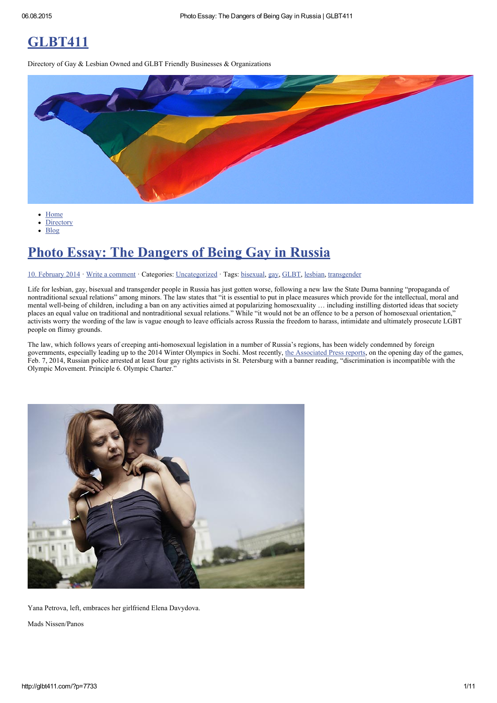# [GLBT411](http://glbt411.com/)

Directory of Gay & Lesbian Owned and GLBT Friendly Businesses & Organizations



- $\bullet$ **[Home](http://glbt411.com/)**
- **[Directory](http://glbt411.com/?page_id=7)**  $\bullet$
- $\ddot{\phantom{a}}$ [Blog](http://glbt411.com/?page_id=9)

## Photo Essay: The [Dangers](http://glbt411.com/?p=7733) of Being Gay in Russia

#### 10. [February](http://glbt411.com/?p=7733) 2014 · Write a [comment](#page-9-0) · Categories: [Uncategorized](http://glbt411.com/?category_name=uncategorized) · Tags: [bisexual,](http://glbt411.com/?tag=bisexual) [gay](http://glbt411.com/?tag=gay), [GLBT,](http://glbt411.com/?tag=glbt) [lesbian](http://glbt411.com/?tag=lesbian), [transgender](http://glbt411.com/?tag=transgender)

Life for lesbian, gay, bisexual and transgender people in Russia has just gotten worse, following a new law the State Duma banning "propaganda of nontraditional sexual relations" among minors. The law states that "it is essential to put in place measures which provide for the intellectual, moral and mental well-being of children, including a ban on any activities aimed at popularizing homosexuality ... including instilling distorted ideas that society places an equal value on traditional and nontraditional sexual relations." While "it would not be an offence to be a person of homosexual orientation," activists worry the wording of the law is vague enough to leave officials across Russia the freedom to harass, intimidate and ultimately prosecute LGBT people on flimsy grounds.

The law, which follows years of creeping anti-homosexual legislation in a number of Russia's regions, has been widely condemned by foreign governments, especially leading up to the 2014 Winter Olympics in Sochi. Most recently, the [Associated](http://news.yahoo.com/4-gay-rights-activists-arrested-st-petersburg-150328494.html) Press reports, on the opening day of the games, Feb. 7, 2014, Russian police arrested at least four gay rights activists in St. Petersburg with a banner reading, "discrimination is incompatible with the Olympic Movement. Principle 6. Olympic Charter."



Yana Petrova, left, embraces her girlfriend Elena Davydova.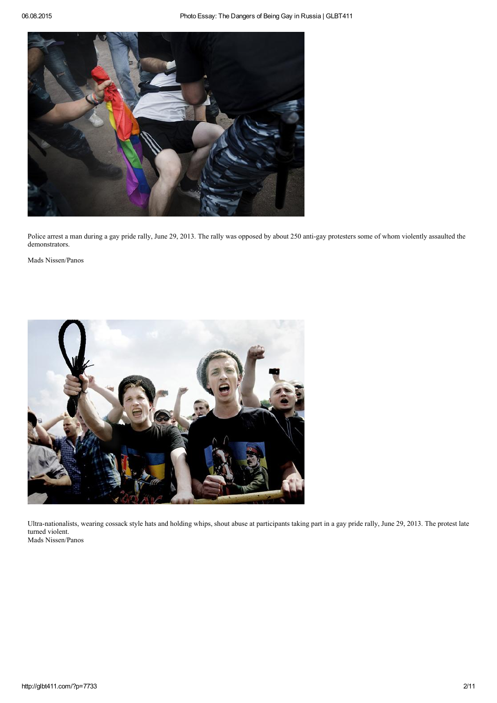

Police arrest a man during a gay pride rally, June 29, 2013. The rally was opposed by about 250 anti-gay protesters some of whom violently assaulted the demonstrators.

Mads Nissen/Panos



Ultra-nationalists, wearing cossack style hats and holding whips, shout abuse at participants taking part in a gay pride rally, June 29, 2013. The protest late turned violent. Mads Nissen/Panos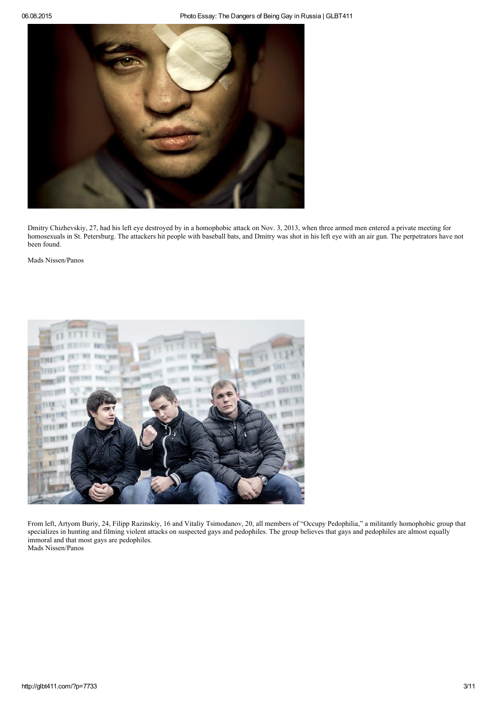

Dmitry Chizhevskiy, 27, had his left eye destroyed by in a homophobic attack on Nov. 3, 2013, when three armed men entered a private meeting for homosexuals in St. Petersburg. The attackers hit people with baseball bats, and Dmitry was shot in his left eye with an air gun. The perpetrators have not been found.

Mads Nissen/Panos



From left, Artyom Buriy, 24, Filipp Razinskiy, 16 and Vitaliy Tsimodanov, 20, all members of "Occupy Pedophilia," a militantly homophobic group that specializes in hunting and filming violent attacks on suspected gays and pedophiles. The group believes that gays and pedophiles are almost equally immoral and that most gays are pedophiles.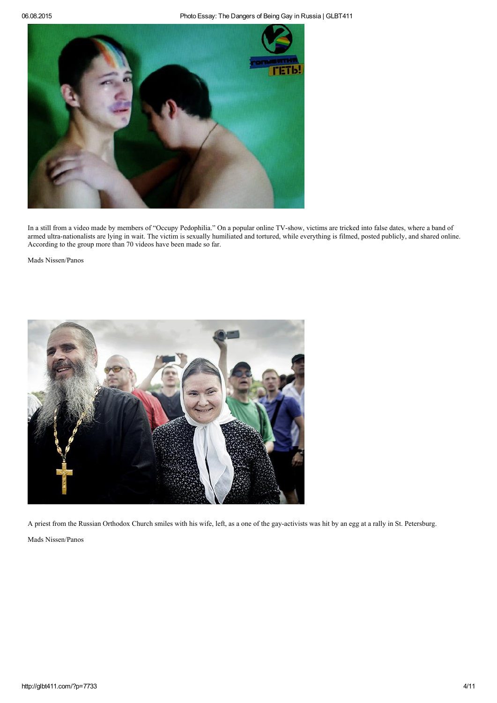

In a still from a video made by members of "Occupy Pedophilia." On a popular online TV-show, victims are tricked into false dates, where a band of armed ultra-nationalists are lying in wait. The victim is sexually humiliated and tortured, while everything is filmed, posted publicly, and shared online. According to the group more than 70 videos have been made so far.

Mads Nissen/Panos



A priest from the Russian Orthodox Church smiles with his wife, left, as a one of the gay-activists was hit by an egg at a rally in St. Petersburg.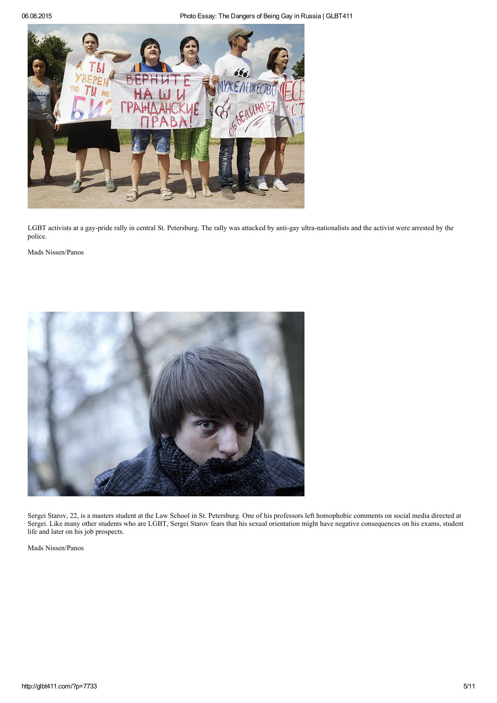06.08.2015 Photo Essay: The Dangers of Being Gay in Russia | GLBT411



LGBT activists at a gay-pride rally in central St. Petersburg. The rally was attacked by anti-gay ultra-nationalists and the activist were arrested by the police.

Mads Nissen/Panos



Sergei Starov, 22, is a masters student at the Law School in St. Petersburg. One of his professors left homophobic comments on social media directed at Sergei. Like many other students who are LGBT, Sergei Starov fears that his sexual orientation might have negative consequences on his exams, student life and later on his job prospects.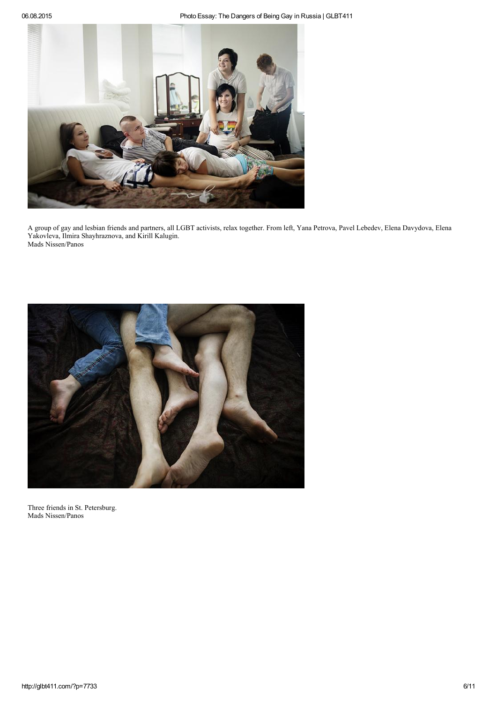

A group of gay and lesbian friends and partners, all LGBT activists, relax together. From left, Yana Petrova, Pavel Lebedev, Elena Davydova, Elena Yakovleva, Ilmira Shayhraznova, and Kirill Kalugin. Mads Nissen/Panos



Three friends in St. Petersburg. Mads Nissen/Panos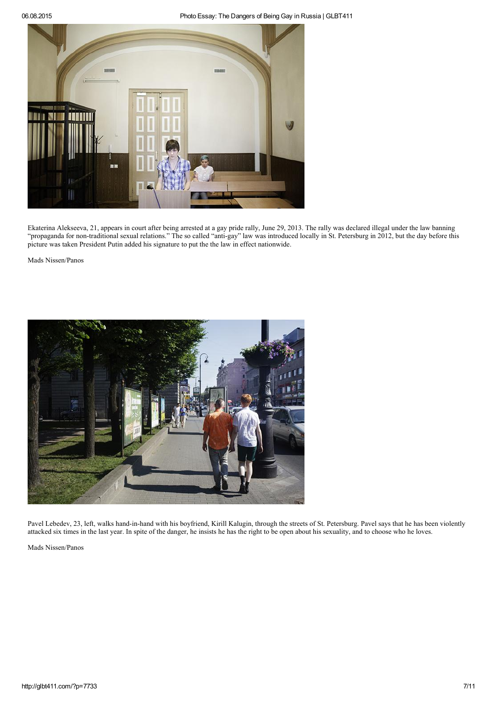#### 06.08.2015 Photo Essay: The Dangers of Being Gay in Russia | GLBT411



Ekaterina Alekseeva, 21, appears in court after being arrested at a gay pride rally, June 29, 2013. The rally was declared illegal under the law banning "propaganda for non-traditional sexual relations." The so called "anti-gay" law was introduced locally in St. Petersburg in 2012, but the day before this picture was taken President Putin added his signature to put the the law in effect nationwide.

Mads Nissen/Panos



Pavel Lebedev, 23, left, walks hand-in-hand with his boyfriend, Kirill Kalugin, through the streets of St. Petersburg. Pavel says that he has been violently attacked six times in the last year. In spite of the danger, he insists he has the right to be open about his sexuality, and to choose who he loves.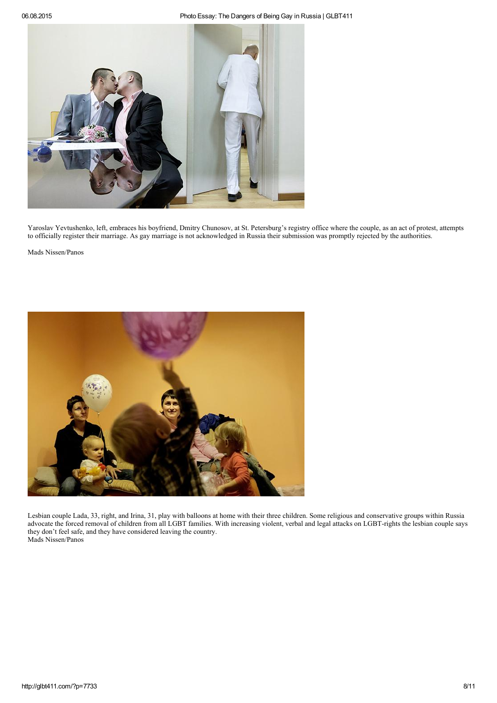

Yaroslav Yevtushenko, left, embraces his boyfriend, Dmitry Chunosov, at St. Petersburg's registry office where the couple, as an act of protest, attempts to officially register their marriage. As gay marriage is not acknowledged in Russia their submission was promptly rejected by the authorities.

Mads Nissen/Panos



Lesbian couple Lada, 33, right, and Irina, 31, play with balloons at home with their three children. Some religious and conservative groups within Russia advocate the forced removal of children from all LGBT families. With increasing violent, verbal and legal attacks on LGBT-rights the lesbian couple says they don't feel safe, and they have considered leaving the country. Mads Nissen/Panos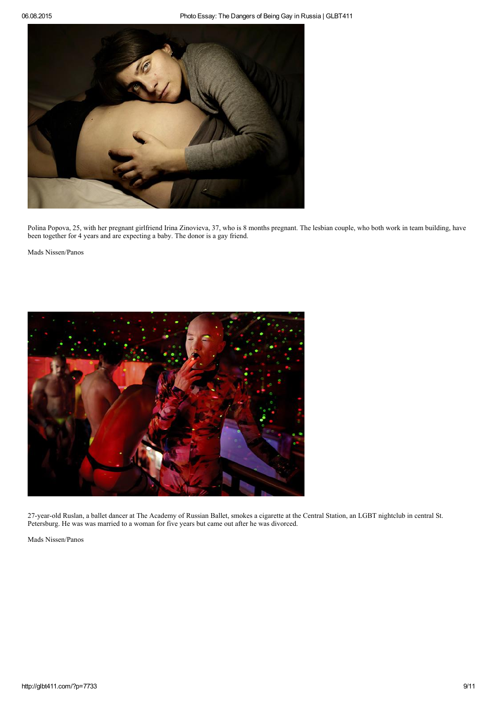

Polina Popova, 25, with her pregnant girlfriend Irina Zinovieva, 37, who is 8 months pregnant. The lesbian couple, who both work in team building, have been together for 4 years and are expecting a baby. The donor is a gay friend.

Mads Nissen/Panos



27-year-old Ruslan, a ballet dancer at The Academy of Russian Ballet, smokes a cigarette at the Central Station, an LGBT nightclub in central St. Petersburg. He was was married to a woman for five years but came out after he was divorced.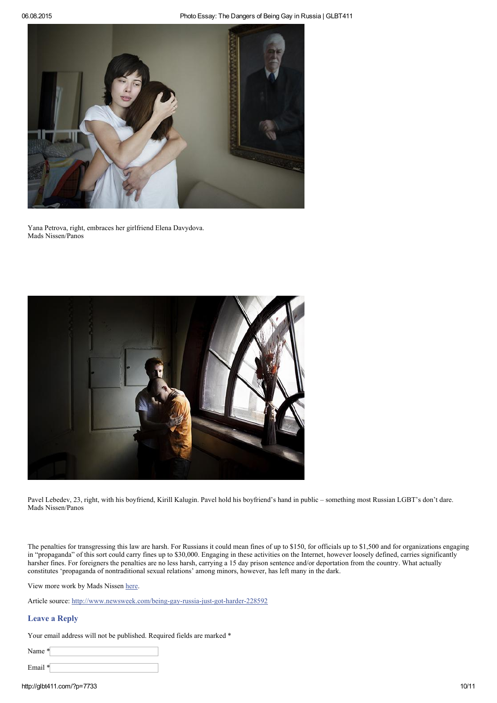

Yana Petrova, right, embraces her girlfriend Elena Davydova. Mads Nissen/Panos



Pavel Lebedev, 23, right, with his boyfriend, Kirill Kalugin. Pavel hold his boyfriend's hand in public – something most Russian LGBT's don't dare. Mads Nissen/Panos

The penalties for transgressing this law are harsh. For Russians it could mean fines of up to \$150, for officials up to \$1,500 and for organizations engaging in "propaganda" of this sort could carry fines up to \$30,000. Engaging in these activities on the Internet, however loosely defined, carries significantly harsher fines. For foreigners the penalties are no less harsh, carrying a 15 day prison sentence and/or deportation from the country. What actually constitutes 'propaganda of nontraditional sexual relations' among minors, however, has left many in the dark.

View more work by Mads Nissen [here.](http://www.madsnissen.com/)

Article source: http://www.newsweek.com/being-gay-russia-just-got-harder-228592

### <span id="page-9-0"></span>Leave a Reply

Your email address will not be published. Required fields are marked \*

| $\tan e$ * |  |
|------------|--|
| Email *    |  |